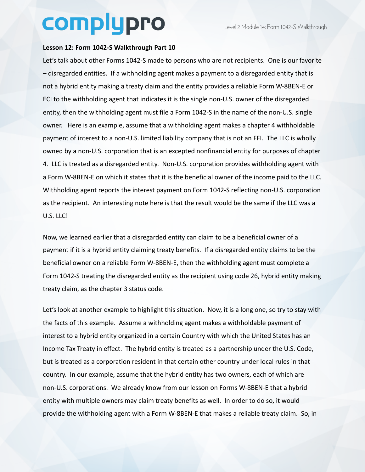## complypro

## **Lesson 12: Form 1042-S Walkthrough Part 10**

Let's talk about other Forms 1042-S made to persons who are not recipients. One is our favorite – disregarded entities. If a withholding agent makes a payment to a disregarded entity that is not a hybrid entity making a treaty claim and the entity provides a reliable Form W-8BEN-E or ECI to the withholding agent that indicates it is the single non-U.S. owner of the disregarded entity, then the withholding agent must file a Form 1042-S in the name of the non-U.S. single owner. Here is an example, assume that a withholding agent makes a chapter 4 withholdable payment of interest to a non-U.S. limited liability company that is not an FFI. The LLC is wholly owned by a non-U.S. corporation that is an excepted nonfinancial entity for purposes of chapter 4. LLC is treated as a disregarded entity. Non-U.S. corporation provides withholding agent with a Form W-8BEN-E on which it states that it is the beneficial owner of the income paid to the LLC. Withholding agent reports the interest payment on Form 1042-S reflecting non-U.S. corporation as the recipient. An interesting note here is that the result would be the same if the LLC was a U.S. LLC!

Now, we learned earlier that a disregarded entity can claim to be a beneficial owner of a payment if it is a hybrid entity claiming treaty benefits. If a disregarded entity claims to be the beneficial owner on a reliable Form W-8BEN-E, then the withholding agent must complete a Form 1042-S treating the disregarded entity as the recipient using code 26, hybrid entity making treaty claim, as the chapter 3 status code.

Let's look at another example to highlight this situation. Now, it is a long one, so try to stay with the facts of this example. Assume a withholding agent makes a withholdable payment of interest to a hybrid entity organized in a certain Country with which the United States has an Income Tax Treaty in effect. The hybrid entity is treated as a partnership under the U.S. Code, but is treated as a corporation resident in that certain other country under local rules in that country. In our example, assume that the hybrid entity has two owners, each of which are non-U.S. corporations. We already know from our lesson on Forms W-8BEN-E that a hybrid entity with multiple owners may claim treaty benefits as well. In order to do so, it would provide the withholding agent with a Form W-8BEN-E that makes a reliable treaty claim. So, in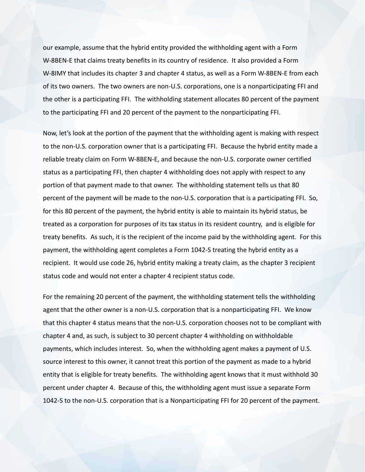our example, assume that the hybrid entity provided the withholding agent with a Form W-8BEN-E that claims treaty benefits in its country of residence. It also provided a Form W-8IMY that includes its chapter 3 and chapter 4 status, as well as a Form W-8BEN-E from each of its two owners. The two owners are non-U.S. corporations, one is a nonparticipating FFI and the other is a participating FFI. The withholding statement allocates 80 percent of the payment to the participating FFI and 20 percent of the payment to the nonparticipating FFI.

Now, let's look at the portion of the payment that the withholding agent is making with respect to the non-U.S. corporation owner that is a participating FFI. Because the hybrid entity made a reliable treaty claim on Form W-8BEN-E, and because the non-U.S. corporate owner certified status as a participating FFI, then chapter 4 withholding does not apply with respect to any portion of that payment made to that owner. The withholding statement tells us that 80 percent of the payment will be made to the non-U.S. corporation that is a participating FFI. So, for this 80 percent of the payment, the hybrid entity is able to maintain its hybrid status, be treated as a corporation for purposes of its tax status in its resident country, and is eligible for treaty benefits. As such, it is the recipient of the income paid by the withholding agent. For this payment, the withholding agent completes a Form 1042-S treating the hybrid entity as a recipient. It would use code 26, hybrid entity making a treaty claim, as the chapter 3 recipient status code and would not enter a chapter 4 recipient status code.

For the remaining 20 percent of the payment, the withholding statement tells the withholding agent that the other owner is a non-U.S. corporation that is a nonparticipating FFI. We know that this chapter 4 status means that the non-U.S. corporation chooses not to be compliant with chapter 4 and, as such, is subject to 30 percent chapter 4 withholding on withholdable payments, which includes interest. So, when the withholding agent makes a payment of U.S. source interest to this owner, it cannot treat this portion of the payment as made to a hybrid entity that is eligible for treaty benefits. The withholding agent knows that it must withhold 30 percent under chapter 4. Because of this, the withholding agent must issue a separate Form 1042-S to the non-U.S. corporation that is a Nonparticipating FFI for 20 percent of the payment.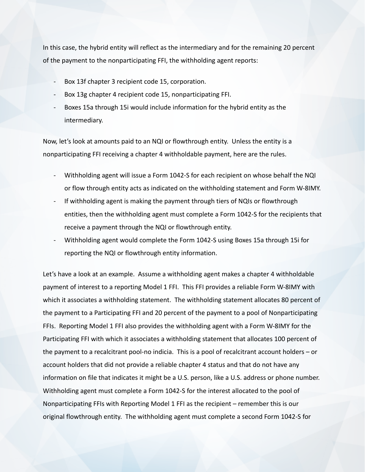In this case, the hybrid entity will reflect as the intermediary and for the remaining 20 percent of the payment to the nonparticipating FFI, the withholding agent reports:

- Box 13f chapter 3 recipient code 15, corporation.
- Box 13g chapter 4 recipient code 15, nonparticipating FFI.
- Boxes 15a through 15i would include information for the hybrid entity as the intermediary.

Now, let's look at amounts paid to an NQI or flowthrough entity. Unless the entity is a nonparticipating FFI receiving a chapter 4 withholdable payment, here are the rules.

- Withholding agent will issue a Form 1042-S for each recipient on whose behalf the NQI or flow through entity acts as indicated on the withholding statement and Form W-8IMY.
- If withholding agent is making the payment through tiers of NQIs or flowthrough entities, then the withholding agent must complete a Form 1042-S for the recipients that receive a payment through the NQI or flowthrough entity.
- Withholding agent would complete the Form 1042-S using Boxes 15a through 15i for reporting the NQI or flowthrough entity information.

Let's have a look at an example. Assume a withholding agent makes a chapter 4 withholdable payment of interest to a reporting Model 1 FFI. This FFI provides a reliable Form W-8IMY with which it associates a withholding statement. The withholding statement allocates 80 percent of the payment to a Participating FFI and 20 percent of the payment to a pool of Nonparticipating FFIs. Reporting Model 1 FFI also provides the withholding agent with a Form W-8IMY for the Participating FFI with which it associates a withholding statement that allocates 100 percent of the payment to a recalcitrant pool-no indicia. This is a pool of recalcitrant account holders – or account holders that did not provide a reliable chapter 4 status and that do not have any information on file that indicates it might be a U.S. person, like a U.S. address or phone number. Withholding agent must complete a Form 1042-S for the interest allocated to the pool of Nonparticipating FFIs with Reporting Model 1 FFI as the recipient – remember this is our original flowthrough entity. The withholding agent must complete a second Form 1042-S for